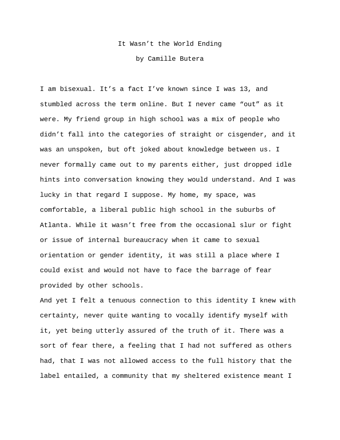## It Wasn't the World Ending

by Camille Butera

I am bisexual. It's a fact I've known since I was 13, and stumbled across the term online. But I never came "out" as it were. My friend group in high school was a mix of people who didn't fall into the categories of straight or cisgender, and it was an unspoken, but oft joked about knowledge between us. I never formally came out to my parents either, just dropped idle hints into conversation knowing they would understand. And I was lucky in that regard I suppose. My home, my space, was comfortable, a liberal public high school in the suburbs of Atlanta. While it wasn't free from the occasional slur or fight or issue of internal bureaucracy when it came to sexual orientation or gender identity, it was still a place where I could exist and would not have to face the barrage of fear provided by other schools.

And yet I felt a tenuous connection to this identity I knew with certainty, never quite wanting to vocally identify myself with it, yet being utterly assured of the truth of it. There was a sort of fear there, a feeling that I had not suffered as others had, that I was not allowed access to the full history that the label entailed, a community that my sheltered existence meant I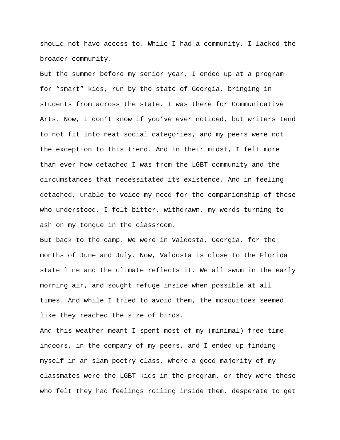should not have access to. While I had a community, I lacked the broader community.

But the summer before my senior year, I ended up at a program for "smart" kids, run by the state of Georgia, bringing in students from across the state. I was there for Communicative Arts. Now, I don't know if you've ever noticed, but writers tend to not fit into neat social categories, and my peers were not the exception to this trend. And in their midst, I felt more than ever how detached I was from the LGBT community and the circumstances that necessitated its existence. And in feeling detached, unable to voice my need for the companionship of those who understood, I felt bitter, withdrawn, my words turning to ash on my tongue in the classroom.

But back to the camp. We were in Valdosta, Georgia, for the months of June and July. Now, Valdosta is close to the Florida state line and the climate reflects it. We all swum in the early morning air, and sought refuge inside when possible at all times. And while I tried to avoid them, the mosquitoes seemed like they reached the size of birds.

And this weather meant I spent most of my (minimal) free time indoors, in the company of my peers, and I ended up finding myself in an slam poetry class, where a good majority of my classmates were the LGBT kids in the program, or they were those who felt they had feelings roiling inside them, desperate to get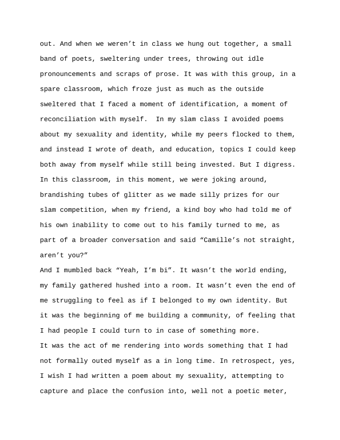out. And when we weren't in class we hung out together, a small band of poets, sweltering under trees, throwing out idle pronouncements and scraps of prose. It was with this group, in a spare classroom, which froze just as much as the outside sweltered that I faced a moment of identification, a moment of reconciliation with myself. In my slam class I avoided poems about my sexuality and identity, while my peers flocked to them, and instead I wrote of death, and education, topics I could keep both away from myself while still being invested. But I digress. In this classroom, in this moment, we were joking around, brandishing tubes of glitter as we made silly prizes for our slam competition, when my friend, a kind boy who had told me of his own inability to come out to his family turned to me, as part of a broader conversation and said "Camille's not straight, aren't you?"

And I mumbled back "Yeah, I'm bi". It wasn't the world ending, my family gathered hushed into a room. It wasn't even the end of me struggling to feel as if I belonged to my own identity. But it was the beginning of me building a community, of feeling that I had people I could turn to in case of something more. It was the act of me rendering into words something that I had not formally outed myself as a in long time. In retrospect, yes, I wish I had written a poem about my sexuality, attempting to capture and place the confusion into, well not a poetic meter,